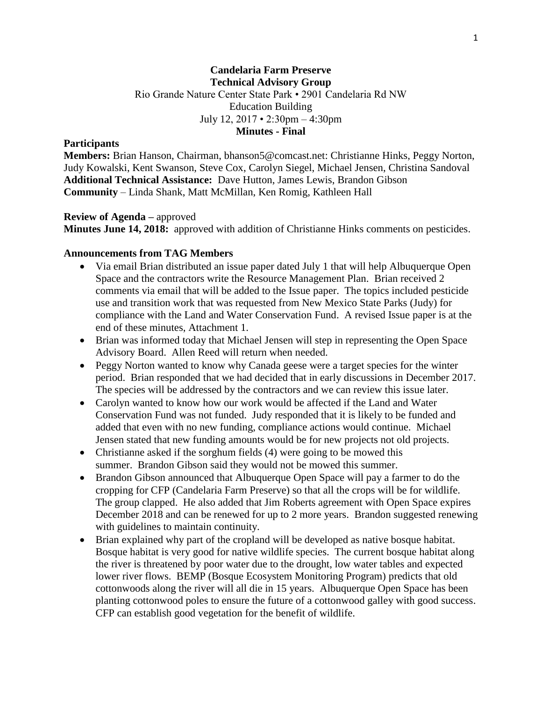## **Candelaria Farm Preserve Technical Advisory Group** Rio Grande Nature Center State Park • 2901 Candelaria Rd NW Education Building July 12, 2017 • 2:30pm – 4:30pm **Minutes - Final**

#### **Participants**

**Members:** Brian Hanson, Chairman, bhanson5@comcast.net: Christianne Hinks, Peggy Norton, Judy Kowalski, Kent Swanson, Steve Cox, Carolyn Siegel, Michael Jensen, Christina Sandoval **Additional Technical Assistance:** Dave Hutton, James Lewis, Brandon Gibson **Community** – Linda Shank, Matt McMillan, Ken Romig, Kathleen Hall

#### **Review of Agenda –** approved

**Minutes June 14, 2018:** approved with addition of Christianne Hinks comments on pesticides.

#### **Announcements from TAG Members**

- Via email Brian distributed an issue paper dated July 1 that will help Albuquerque Open Space and the contractors write the Resource Management Plan. Brian received 2 comments via email that will be added to the Issue paper. The topics included pesticide use and transition work that was requested from New Mexico State Parks (Judy) for compliance with the Land and Water Conservation Fund. A revised Issue paper is at the end of these minutes, Attachment 1.
- Brian was informed today that Michael Jensen will step in representing the Open Space Advisory Board. Allen Reed will return when needed.
- Peggy Norton wanted to know why Canada geese were a target species for the winter period. Brian responded that we had decided that in early discussions in December 2017. The species will be addressed by the contractors and we can review this issue later.
- Carolyn wanted to know how our work would be affected if the Land and Water Conservation Fund was not funded. Judy responded that it is likely to be funded and added that even with no new funding, compliance actions would continue. Michael Jensen stated that new funding amounts would be for new projects not old projects.
- Christianne asked if the sorghum fields (4) were going to be mowed this summer. Brandon Gibson said they would not be mowed this summer.
- Brandon Gibson announced that Albuquerque Open Space will pay a farmer to do the cropping for CFP (Candelaria Farm Preserve) so that all the crops will be for wildlife. The group clapped. He also added that Jim Roberts agreement with Open Space expires December 2018 and can be renewed for up to 2 more years. Brandon suggested renewing with guidelines to maintain continuity.
- Brian explained why part of the cropland will be developed as native bosque habitat. Bosque habitat is very good for native wildlife species. The current bosque habitat along the river is threatened by poor water due to the drought, low water tables and expected lower river flows. BEMP (Bosque Ecosystem Monitoring Program) predicts that old cottonwoods along the river will all die in 15 years. Albuquerque Open Space has been planting cottonwood poles to ensure the future of a cottonwood galley with good success. CFP can establish good vegetation for the benefit of wildlife.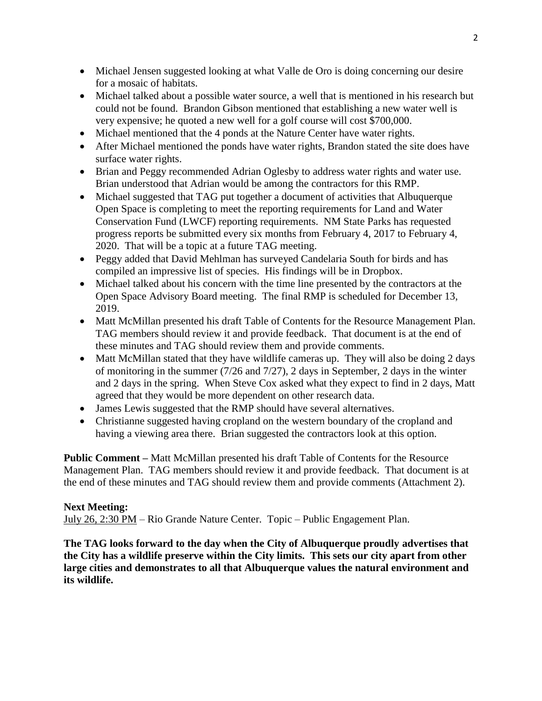- Michael Jensen suggested looking at what Valle de Oro is doing concerning our desire for a mosaic of habitats.
- Michael talked about a possible water source, a well that is mentioned in his research but could not be found. Brandon Gibson mentioned that establishing a new water well is very expensive; he quoted a new well for a golf course will cost \$700,000.
- Michael mentioned that the 4 ponds at the Nature Center have water rights.
- After Michael mentioned the ponds have water rights, Brandon stated the site does have surface water rights.
- Brian and Peggy recommended Adrian Oglesby to address water rights and water use. Brian understood that Adrian would be among the contractors for this RMP.
- Michael suggested that TAG put together a document of activities that Albuquerque Open Space is completing to meet the reporting requirements for Land and Water Conservation Fund (LWCF) reporting requirements. NM State Parks has requested progress reports be submitted every six months from February 4, 2017 to February 4, 2020. That will be a topic at a future TAG meeting.
- Peggy added that David Mehlman has surveyed Candelaria South for birds and has compiled an impressive list of species. His findings will be in Dropbox.
- Michael talked about his concern with the time line presented by the contractors at the Open Space Advisory Board meeting. The final RMP is scheduled for December 13, 2019.
- Matt McMillan presented his draft Table of Contents for the Resource Management Plan. TAG members should review it and provide feedback. That document is at the end of these minutes and TAG should review them and provide comments.
- Matt McMillan stated that they have wildlife cameras up. They will also be doing 2 days of monitoring in the summer (7/26 and 7/27), 2 days in September, 2 days in the winter and 2 days in the spring. When Steve Cox asked what they expect to find in 2 days, Matt agreed that they would be more dependent on other research data.
- James Lewis suggested that the RMP should have several alternatives.
- Christianne suggested having cropland on the western boundary of the cropland and having a viewing area there. Brian suggested the contractors look at this option.

**Public Comment –** Matt McMillan presented his draft Table of Contents for the Resource Management Plan. TAG members should review it and provide feedback. That document is at the end of these minutes and TAG should review them and provide comments (Attachment 2).

# **Next Meeting:**

July 26, 2:30 PM – Rio Grande Nature Center. Topic – Public Engagement Plan.

**The TAG looks forward to the day when the City of Albuquerque proudly advertises that the City has a wildlife preserve within the City limits. This sets our city apart from other large cities and demonstrates to all that Albuquerque values the natural environment and its wildlife.**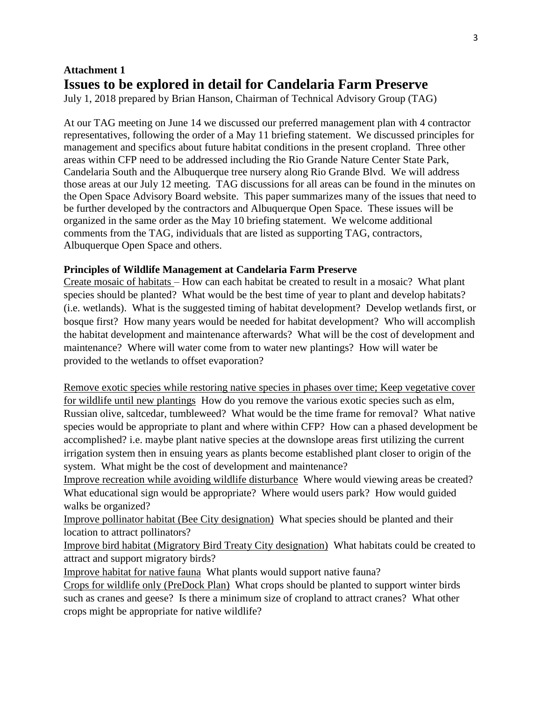# **Attachment 1 Issues to be explored in detail for Candelaria Farm Preserve**

July 1, 2018 prepared by Brian Hanson, Chairman of Technical Advisory Group (TAG)

At our TAG meeting on June 14 we discussed our preferred management plan with 4 contractor representatives, following the order of a May 11 briefing statement. We discussed principles for management and specifics about future habitat conditions in the present cropland. Three other areas within CFP need to be addressed including the Rio Grande Nature Center State Park, Candelaria South and the Albuquerque tree nursery along Rio Grande Blvd. We will address those areas at our July 12 meeting. TAG discussions for all areas can be found in the minutes on the Open Space Advisory Board website. This paper summarizes many of the issues that need to be further developed by the contractors and Albuquerque Open Space. These issues will be organized in the same order as the May 10 briefing statement. We welcome additional comments from the TAG, individuals that are listed as supporting TAG, contractors, Albuquerque Open Space and others.

# **Principles of Wildlife Management at Candelaria Farm Preserve**

Create mosaic of habitats – How can each habitat be created to result in a mosaic? What plant species should be planted? What would be the best time of year to plant and develop habitats? (i.e. wetlands). What is the suggested timing of habitat development? Develop wetlands first, or bosque first? How many years would be needed for habitat development? Who will accomplish the habitat development and maintenance afterwards? What will be the cost of development and maintenance? Where will water come from to water new plantings? How will water be provided to the wetlands to offset evaporation?

Remove exotic species while restoring native species in phases over time; Keep vegetative cover for wildlife until new plantings How do you remove the various exotic species such as elm, Russian olive, saltcedar, tumbleweed? What would be the time frame for removal? What native species would be appropriate to plant and where within CFP? How can a phased development be accomplished? i.e. maybe plant native species at the downslope areas first utilizing the current irrigation system then in ensuing years as plants become established plant closer to origin of the system. What might be the cost of development and maintenance?

Improve recreation while avoiding wildlife disturbance Where would viewing areas be created? What educational sign would be appropriate? Where would users park? How would guided walks be organized?

Improve pollinator habitat (Bee City designation) What species should be planted and their location to attract pollinators?

Improve bird habitat (Migratory Bird Treaty City designation) What habitats could be created to attract and support migratory birds?

Improve habitat for native fauna What plants would support native fauna?

Crops for wildlife only (PreDock Plan) What crops should be planted to support winter birds such as cranes and geese? Is there a minimum size of cropland to attract cranes? What other crops might be appropriate for native wildlife?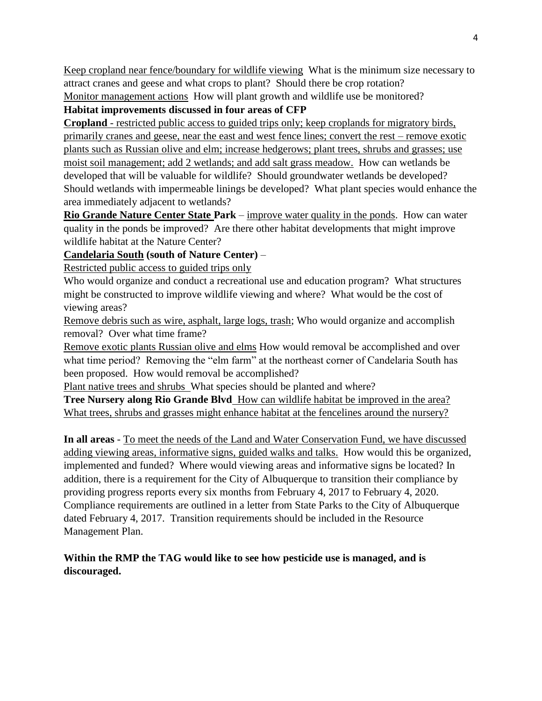Keep cropland near fence/boundary for wildlife viewing What is the minimum size necessary to attract cranes and geese and what crops to plant? Should there be crop rotation?

Monitor management actions How will plant growth and wildlife use be monitored? **Habitat improvements discussed in four areas of CFP**

**Cropland** - restricted public access to guided trips only; keep croplands for migratory birds, primarily cranes and geese, near the east and west fence lines; convert the rest – remove exotic plants such as Russian olive and elm; increase hedgerows; plant trees, shrubs and grasses; use moist soil management; add 2 wetlands; and add salt grass meadow. How can wetlands be developed that will be valuable for wildlife? Should groundwater wetlands be developed? Should wetlands with impermeable linings be developed? What plant species would enhance the area immediately adjacent to wetlands?

**Rio Grande Nature Center State Park** – improve water quality in the ponds. How can water quality in the ponds be improved? Are there other habitat developments that might improve wildlife habitat at the Nature Center?

**Candelaria South (south of Nature Center)** –

Restricted public access to guided trips only

Who would organize and conduct a recreational use and education program? What structures might be constructed to improve wildlife viewing and where? What would be the cost of viewing areas?

Remove debris such as wire, asphalt, large logs, trash; Who would organize and accomplish removal? Over what time frame?

Remove exotic plants Russian olive and elms How would removal be accomplished and over what time period? Removing the "elm farm" at the northeast corner of Candelaria South has been proposed. How would removal be accomplished?

Plant native trees and shrubs What species should be planted and where?

**Tree Nursery along Rio Grande Blvd** How can wildlife habitat be improved in the area? What trees, shrubs and grasses might enhance habitat at the fencelines around the nursery?

**In all areas** - To meet the needs of the Land and Water Conservation Fund, we have discussed adding viewing areas, informative signs, guided walks and talks. How would this be organized, implemented and funded? Where would viewing areas and informative signs be located? In addition, there is a requirement for the City of Albuquerque to transition their compliance by providing progress reports every six months from February 4, 2017 to February 4, 2020. Compliance requirements are outlined in a letter from State Parks to the City of Albuquerque dated February 4, 2017. Transition requirements should be included in the Resource Management Plan.

**Within the RMP the TAG would like to see how pesticide use is managed, and is discouraged.**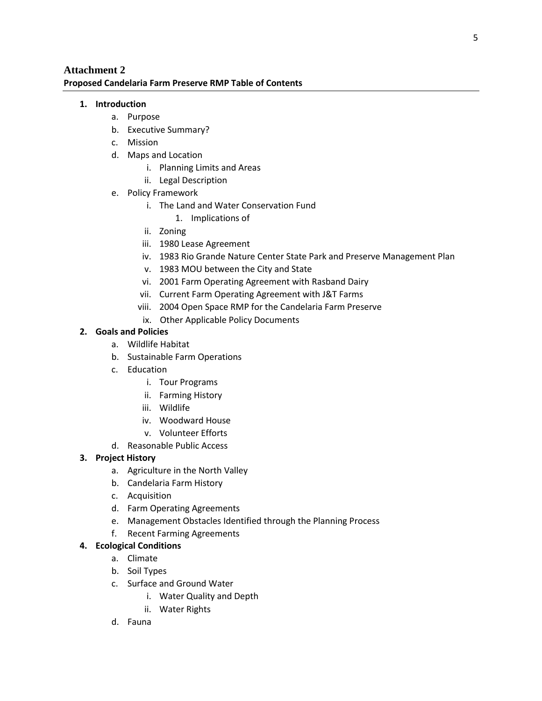## **Attachment 2 Proposed Candelaria Farm Preserve RMP Table of Contents**

#### **1. Introduction**

- a. Purpose
- b. Executive Summary?
- c. Mission
- d. Maps and Location
	- i. Planning Limits and Areas
	- ii. Legal Description
- e. Policy Framework
	- i. The Land and Water Conservation Fund
		- 1. Implications of
	- ii. Zoning
	- iii. 1980 Lease Agreement
	- iv. 1983 Rio Grande Nature Center State Park and Preserve Management Plan
	- v. 1983 MOU between the City and State
	- vi. 2001 Farm Operating Agreement with Rasband Dairy
	- vii. Current Farm Operating Agreement with J&T Farms
	- viii. 2004 Open Space RMP for the Candelaria Farm Preserve
	- ix. Other Applicable Policy Documents

## **2. Goals and Policies**

- a. Wildlife Habitat
- b. Sustainable Farm Operations
- c. Education
	- i. Tour Programs
	- ii. Farming History
	- iii. Wildlife
	- iv. Woodward House
	- v. Volunteer Efforts
- d. Reasonable Public Access

# **3. Project History**

- a. Agriculture in the North Valley
- b. Candelaria Farm History
- c. Acquisition
- d. Farm Operating Agreements
- e. Management Obstacles Identified through the Planning Process
- f. Recent Farming Agreements

## **4. Ecological Conditions**

- a. Climate
- b. Soil Types
- c. Surface and Ground Water
	- i. Water Quality and Depth
	- ii. Water Rights
- d. Fauna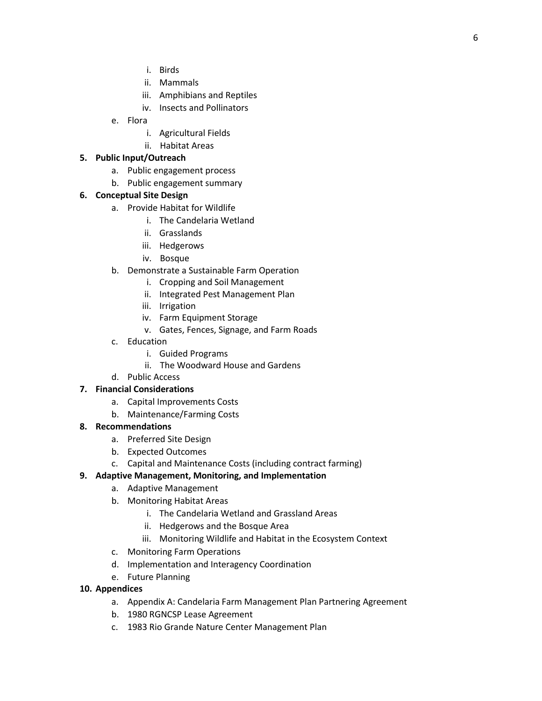- i. Birds
- ii. Mammals
- iii. Amphibians and Reptiles
- iv. Insects and Pollinators
- e. Flora
	- i. Agricultural Fields
	- ii. Habitat Areas

#### **5. Public Input/Outreach**

- a. Public engagement process
- b. Public engagement summary

## **6. Conceptual Site Design**

- a. Provide Habitat for Wildlife
	- i. The Candelaria Wetland
	- ii. Grasslands
	- iii. Hedgerows
	- iv. Bosque
- b. Demonstrate a Sustainable Farm Operation
	- i. Cropping and Soil Management
	- ii. Integrated Pest Management Plan
	- iii. Irrigation
	- iv. Farm Equipment Storage
	- v. Gates, Fences, Signage, and Farm Roads
- c. Education
	- i. Guided Programs
	- ii. The Woodward House and Gardens
- d. Public Access

## **7. Financial Considerations**

- a. Capital Improvements Costs
- b. Maintenance/Farming Costs

#### **8. Recommendations**

- a. Preferred Site Design
- b. Expected Outcomes
- c. Capital and Maintenance Costs (including contract farming)

#### **9. Adaptive Management, Monitoring, and Implementation**

- a. Adaptive Management
- b. Monitoring Habitat Areas
	- i. The Candelaria Wetland and Grassland Areas
	- ii. Hedgerows and the Bosque Area
	- iii. Monitoring Wildlife and Habitat in the Ecosystem Context
- c. Monitoring Farm Operations
- d. Implementation and Interagency Coordination
- e. Future Planning

#### **10. Appendices**

- a. Appendix A: Candelaria Farm Management Plan Partnering Agreement
- b. 1980 RGNCSP Lease Agreement
- c. 1983 Rio Grande Nature Center Management Plan